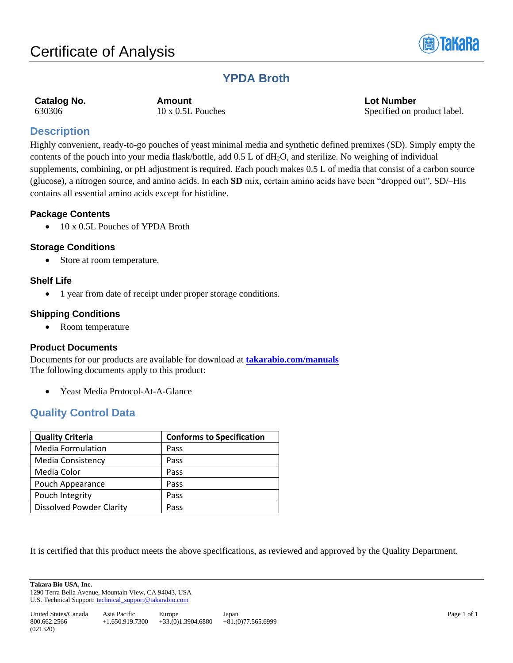

# **YPDA Broth**

**Catalog No. Amount Lot Number** 630306 10 x 0.5L Pouches Specified on product label.

# **Description**

Highly convenient, ready-to-go pouches of yeast minimal media and synthetic defined premixes (SD). Simply empty the contents of the pouch into your media flask/bottle, add 0.5 L of dH2O, and sterilize. No weighing of individual supplements, combining, or pH adjustment is required. Each pouch makes 0.5 L of media that consist of a carbon source (glucose), a nitrogen source, and amino acids. In each **SD** mix, certain amino acids have been "dropped out", SD/–His contains all essential amino acids except for histidine.

# **Package Contents**

• 10 x 0.5L Pouches of YPDA Broth

# **Storage Conditions**

• Store at room temperature.

# **Shelf Life**

• 1 year from date of receipt under proper storage conditions.

# **Shipping Conditions**

• Room temperature

# **Product Documents**

Documents for our products are available for download at **[takarabio.com/manuals](http://www.takarabio.com/manuals)** The following documents apply to this product:

• Yeast Media Protocol-At-A-Glance

# **Quality Control Data**

| <b>Quality Criteria</b>         | <b>Conforms to Specification</b> |
|---------------------------------|----------------------------------|
| <b>Media Formulation</b>        | Pass                             |
| <b>Media Consistency</b>        | Pass                             |
| Media Color                     | Pass                             |
| Pouch Appearance                | Pass                             |
| Pouch Integrity                 | Pass                             |
| <b>Dissolved Powder Clarity</b> | Pass                             |

It is certified that this product meets the above specifications, as reviewed and approved by the Quality Department.